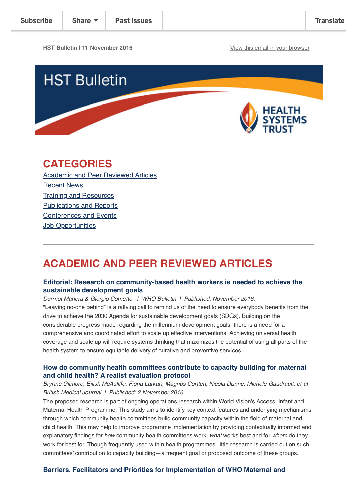**HST Bulletin | 11 November 2016** [View this email in your browser](http://us14.campaign-archive1.com/?u=72d7614ab973e486252cafb97&id=ba108bbf75&e=4a187cc470)



# **CATEGORIES**

[Academic and Peer Reviewed Articles](http://us14.campaign-archive2.com/?u=72d7614ab973e486252cafb97&id=ba108bbf75&e=4a187cc470#Academic) [Recent News](http://us14.campaign-archive2.com/?u=72d7614ab973e486252cafb97&id=ba108bbf75&e=4a187cc470#Recent) [Training and Resources](http://us14.campaign-archive2.com/?u=72d7614ab973e486252cafb97&id=ba108bbf75&e=4a187cc470#Training) [Publications and Reports](http://us14.campaign-archive2.com/?u=72d7614ab973e486252cafb97&id=ba108bbf75&e=4a187cc470#Books) [Conferences and Events](http://us14.campaign-archive2.com/?u=72d7614ab973e486252cafb97&id=ba108bbf75&e=4a187cc470#Conferences) **[Job Opportunities](http://us14.campaign-archive2.com/?u=72d7614ab973e486252cafb97&id=ba108bbf75&e=4a187cc470#Job%20Opportunities)** 

# **ACADEMIC AND PEER REVIEWED ARTICLES**

### **[Editorial: Research on community-based health workers is needed to achieve the](http://www.who.int/bulletin/volumes/94/11/16-185918.pdf?ua=1) sustainable development goals**

*Dermot Mahera & Giorgio Cometto | WHO Bulletin | Published: November 2016.* "Leaving no-one behind" is a rallying call to remind us of the need to ensure everybody benefits from the drive to achieve the 2030 Agenda for sustainable development goals (SDGs). Building on the considerable progress made regarding the millennium development goals, there is a need for a comprehensive and coordinated effort to scale up effective interventions. Achieving universal health coverage and scale up will require systems thinking that maximizes the potential of using all parts of the health system to ensure equitable delivery of curative and preventive services.

### **[How do community health committees contribute to capacity building for maternal](http://bmjopen.bmj.com/content/6/11/e011885.full) and child health? A realist evaluation protocol**

*Brynne Gilmore, Eilish McAuliffe, Fiona Larkan, Magnus Conteh, Nicola Dunne, Michele Gaudrault, et al British Medical Journal | Published: 2 November 2016.*

The proposed research is part of ongoing operations research within World Vision's Access: Infant and Maternal Health Programme. This study aims to identify key context features and underlying mechanisms through which community health committees build community capacity within the field of maternal and child health. This may help to improve programme implementation by providing contextually informed and explanatory findings for *how* community health committees work, *what* works best and for *whom* do they work for best for. Though frequently used within health programmes, little research is carried out on such committees' contribution to capacity building—a frequent goal or proposed outcome of these groups.

### **[Barriers, Facilitators and Priorities for Implementation of WHO Maternal and](http://journals.plos.org/plosone/article?id=10.1371/journal.pone.0160020)**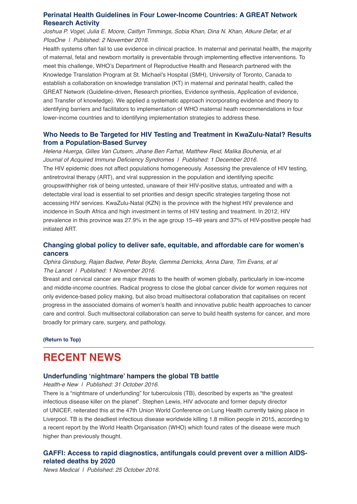# **[Perinatal Health Guidelines in Four Lower-Income Countries: A GREAT Network](http://journals.plos.org/plosone/article?id=10.1371/journal.pone.0160020) Research Activity**

*Joshua P. Vogel, Julia E. Moore, Caitlyn Timmings, Sobia Khan, Dina N. Khan, Atkure Defar, et al PlosOne | Published: 2 November 2016.*

Health systems often fail to use evidence in clinical practice. In maternal and perinatal health, the majority of maternal, fetal and newborn mortality is preventable through implementing effective interventions. To meet this challenge, WHO's Department of Reproductive Health and Research partnered with the Knowledge Translation Program at St. Michael's Hospital (SMH), University of Toronto, Canada to establish a collaboration on knowledge translation (KT) in maternal and perinatal health, called the GREAT Network (Guideline-driven, Research priorities, Evidence synthesis, Application of evidence, and Transfer of knowledge). We applied a systematic approach incorporating evidence and theory to identifying barriers and facilitators to implementation of WHO maternal heath recommendations in four lower-income countries and to identifying implementation strategies to address these.

# **[Who Needs to Be Targeted for HIV Testing and Treatment in KwaZulu-Natal? Results](http://journals.lww.com/jaids/Fulltext/2016/12010/Who_Needs_to_Be_Targeted_for_HIV_Testing_and.7.aspx#) from a Population-Based Survey**

*Helena Huerga, Gilles Van Cutsem, Jihane Ben Farhat, Matthew Reid, Malika Bouhenia, et al Journal of Acquired Immune Deficiency Syndromes | Published: 1 December 2016.* The HIV epidemic does not affect populations homogeneously. Assessing the prevalence of HIV testing, antiretroviral therapy (ART), and viral suppression in the population and identifying specific groupswithhigher risk of being untested, unaware of their HIV-positive status, untreated and with a detectable viral load is essential to set priorities and design specific strategies targeting those not accessing HIV services. KwaZulu-Natal (KZN) is the province with the highest HIV prevalence and incidence in South Africa and high investment in terms of HIV testing and treatment. In 2012, HIV prevalence in this province was 27.9% in the age group 15–49 years and 37% of HIV-positive people had initiated ART.

# **[Changing global policy to deliver safe, equitable, and affordable care for women's](http://www.thelancet.com/journals/lancet/article/PIIS0140-6736(16)31393-9/fulltext) cancers**

*Ophira Ginsburg, Rajan Badwe, Peter Boyle, Gemma Derricks, Anna Dare, Tim Evans, et al The Lancet | Published: 1 November 2016.*

Breast and cervical cancer are major threats to the health of women globally, particularly in low-income and middle-income countries. Radical progress to close the global cancer divide for women requires not only evidence-based policy making, but also broad multisectoral collaboration that capitalises on recent progress in the associated domains of women's health and innovative public health approaches to cancer care and control. Such multisectoral collaboration can serve to build health systems for cancer, and more broadly for primary care, surgery, and pathology.

**[\(Return to Top\)](http://us14.campaign-archive2.com/?u=72d7614ab973e486252cafb97&id=ba108bbf75&e=4a187cc470#Top)**

# **RECENT NEWS**

### **[Underfunding 'nightmare' hampers the global TB battle](https://www.health-e.org.za/2016/10/31/nightmare-underfunding-tuberculosis-tb-described-experts-greatest-infectious-disease-killer-planet/)**

*Health-e New | Published: 31 October 2016.*

There is a "nightmare of underfunding" for tuberculosis (TB), described by experts as "the greatest infectious disease killer on the planet". Stephen Lewis, HIV advocate and former deputy director of UNICEF, reiterated this at the 47th Union World Conference on Lung Health currently taking place in Liverpool. TB is the deadliest infectious disease worldwide killing 1.8 million people in 2015, according to a recent report by the World Health Organisation (WHO) which found rates of the disease were much higher than previously thought.

## **[GAFFI: Access to rapid diagnostics, antifungals could prevent over a million AIDS](http://www.news-medical.net/news/20161025/GAFFI-Access-to-rapid-diagnostics-antifungals-could-prevent-over-a-million-AIDS-related-deaths-by-2020.aspx)related deaths by 2020**

*News Medical | Published: 25 October 2016.*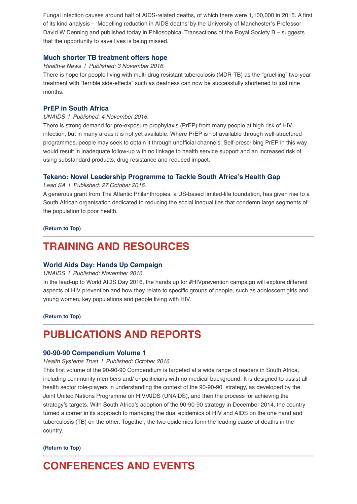Fungal infection causes around half of AIDS-related deaths, of which there were 1,100,000 in 2015. A first of its kind analysis – 'Modelling reduction in AIDS deaths' by the University of Manchester's Professor David W Denning and published today in Philosophical Transactions of the Royal Society B – suggests that the opportunity to save lives is being missed.

## **[Much shorter TB treatment offers hope](https://www.health-e.org.za/2016/11/03/hope-drug-resistant-tb-shorter-treatment-success/)**

#### *Health-e News | Published: 3 November 2016.*

There is hope for people living with multi-drug resistant tuberculosis (MDR-TB) as the "gruelling" two-year treatment with "terrible side-effects" such as deafness can now be successfully shortened to just nine months.

## **[PrEP in South Africa](http://www.unaids.org/en/resources/presscentre/featurestories/2016/november/20161104_PrEP-ZA%20%C2%A0%C2%A0)**

### *UNAIDS | Published: 4 November 2016.*

There is strong demand for pre-exposure prophylaxis (PrEP) from many people at high risk of HIV infection, but in many areas it is not yet available. Where PrEP is not available through well-structured programmes, people may seek to obtain it through unofficial channels. Self-prescribing PrEP in this way would result in inadequate follow-up with no linkage to health service support and an increased risk of using substandard products, drug resistance and reduced impact.

### **[Tekano: Novel Leadership Programme to Tackle South Africa's Health Gap](http://www.leadsa.co.za/articles/227426/tekano-novel-leadership-programme-to-tackle-south-africa-s-health-gap)**

*Lead SA | Published: 27 October 2016.*

A generous grant from The Atlantic Philanthropies, a US-based limited-life foundation, has given rise to a South African organisation dedicated to reducing the social inequalities that condemn large segments of the population to poor health.

#### **[\(Return to Top\)](http://us14.campaign-archive2.com/?u=72d7614ab973e486252cafb97&id=ba108bbf75&e=4a187cc470#Top)**

# **TRAINING AND RESOURCES**

### **[World Aids Day: Hands Up Campaign](http://www.unaids.org/sites/default/files/media_asset/WAD2016-brochure_en.pdf)**

#### *UNAIDS | Published: November 2016.*

In the lead-up to World AIDS Day 2016, the hands up for #HIVprevention campaign will explore different aspects of HIV prevention and how they relate to specific groups of people, such as adolescent girls and young women, key populations and people living with HIV.

**[\(Return to Top\)](http://us14.campaign-archive2.com/?u=72d7614ab973e486252cafb97&id=ba108bbf75&e=4a187cc470#Top)**

# **PUBLICATIONS AND REPORTS**

### **[90-90-90 Compendium Volume 1](http://www.hst.org.za/publications/90-90-90-compendium-volume-i)**

*Health Systems Trust | Published: October 2016.*

This first volume of the 90-90-90 Compendium is targeted at a wide range of readers in South Africa, including community members and/ or politicians with no medical background. It is designed to assist all health sector role-players in understanding the context of the 90-90-90 strategy, as developed by the Joint United Nations Programme on HIV/AIDS (UNAIDS), and then the process for achieving the strategy's targets. With South Africa's adoption of the 90-90-90 strategy in December 2014, the country turned a corner in its approach to managing the dual epidemics of HIV and AIDS on the one hand and tuberculosis (TB) on the other. Together, the two epidemics form the leading cause of deaths in the country.

#### **[\(Return to Top\)](http://us14.campaign-archive2.com/?u=72d7614ab973e486252cafb97&id=ba108bbf75&e=4a187cc470#Top)**

# **CONFERENCES AND EVENTS**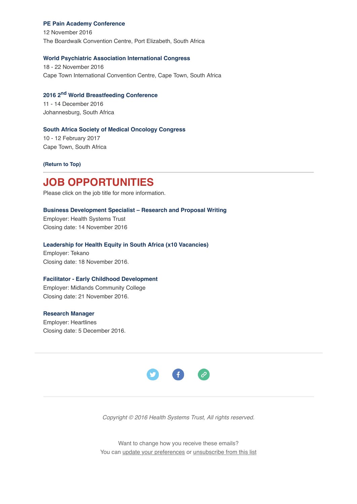#### **[PE Pain Academy Conference](http://painsa.org.za/2016-pe-pain-academy-2016/)**

12 November 2016 The Boardwalk Convention Centre, Port Elizabeth, South Africa

#### **[World Psychiatric Association International Congress](http://www.wpacapetown2016.org.za/)**

18 - 22 November 2016 Cape Town International Convention Centre, Cape Town, South Africa

# **[2016 2nd World Breastfeeding Conference](http://worldbreastfeedingconference.org/home.html)**

11 - 14 December 2016 Johannesburg, South Africa

#### **[South Africa Society of Medical Oncology Congress](http://www.esmo.org/Conferences/ESMO-Summit-Africa-2017)**

10 - 12 February 2017 Cape Town, South Africa

**[\(Return to Top\)](http://us14.campaign-archive2.com/?u=72d7614ab973e486252cafb97&id=ba108bbf75&e=4a187cc470#Top)**

# **JOB OPPORTUNITIES**

Please click on the job title for more information.

#### **[Business Development Specialist – Research and Proposal Writing](http://www.hst.org.za/jobs/business-development-specialist-research-and-proposal-writing)**

Employer: Health Systems Trust Closing date: 14 November 2016

#### **[Leadership for Health Equity in South Africa \(x10 Vacancies\)](http://www.ngopulse.org/opportunity/2016/10/27/tekano-x10-vacancies)**

Employer: Tekano Closing date: 18 November 2016.

#### **[Facilitator - Early Childhood Development](http://www.ngopulse.org/opportunity/2016/11/01/early-childhood-development-facilitator-ecd-level-4)**

Employer: Midlands Community College Closing date: 21 November 2016.

#### **[Research Manager](http://www.ngopulse.org/opportunity/2016/08/24/heartlines-research-manager)**

Employer: Heartlines Closing date: 5 December 2016.



*Copyright © 2016 Health Systems Trust, All rights reserved.*

Want to change how you receive these emails? You can [update your preferences](http://hst.us14.list-manage.com/profile?u=72d7614ab973e486252cafb97&id=ac4ca52ce0&e=4a187cc470) or [unsubscribe from this list](http://hst.us14.list-manage.com/unsubscribe?u=72d7614ab973e486252cafb97&id=ac4ca52ce0&e=4a187cc470&c=ba108bbf75)